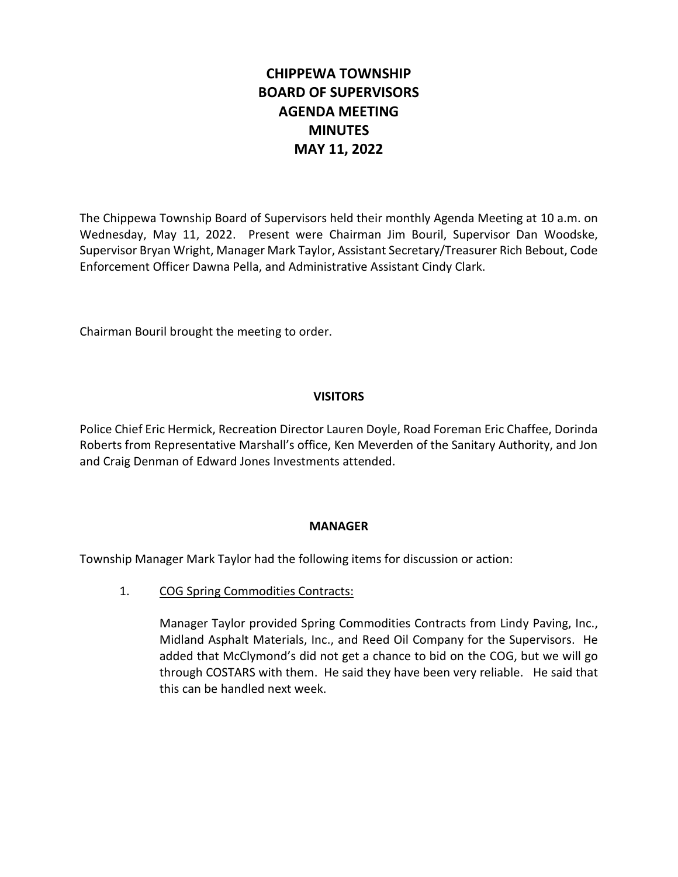# **CHIPPEWA TOWNSHIP BOARD OF SUPERVISORS AGENDA MEETING MINUTES MAY 11, 2022**

The Chippewa Township Board of Supervisors held their monthly Agenda Meeting at 10 a.m. on Wednesday, May 11, 2022. Present were Chairman Jim Bouril, Supervisor Dan Woodske, Supervisor Bryan Wright, Manager Mark Taylor, Assistant Secretary/Treasurer Rich Bebout, Code Enforcement Officer Dawna Pella, and Administrative Assistant Cindy Clark.

Chairman Bouril brought the meeting to order.

# **VISITORS**

Police Chief Eric Hermick, Recreation Director Lauren Doyle, Road Foreman Eric Chaffee, Dorinda Roberts from Representative Marshall's office, Ken Meverden of the Sanitary Authority, and Jon and Craig Denman of Edward Jones Investments attended.

## **MANAGER**

Township Manager Mark Taylor had the following items for discussion or action:

1. COG Spring Commodities Contracts:

Manager Taylor provided Spring Commodities Contracts from Lindy Paving, Inc., Midland Asphalt Materials, Inc., and Reed Oil Company for the Supervisors. He added that McClymond's did not get a chance to bid on the COG, but we will go through COSTARS with them. He said they have been very reliable. He said that this can be handled next week.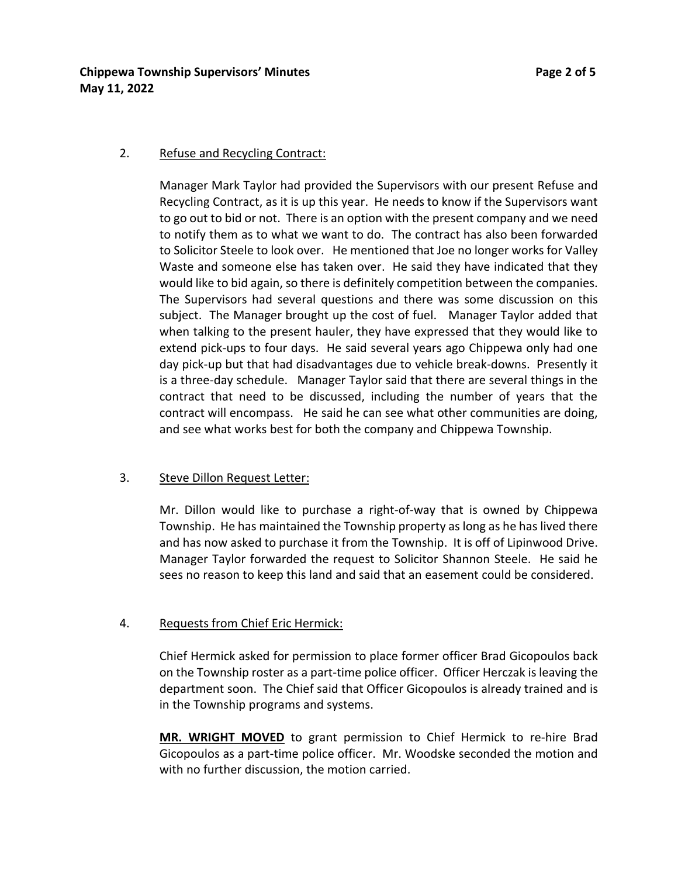# **Chippewa Township Supervisors' Minutes Page 2 of 5 May 11, 2022**

#### 2. Refuse and Recycling Contract:

Manager Mark Taylor had provided the Supervisors with our present Refuse and Recycling Contract, as it is up this year. He needs to know if the Supervisors want to go out to bid or not. There is an option with the present company and we need to notify them as to what we want to do. The contract has also been forwarded to Solicitor Steele to look over. He mentioned that Joe no longer works for Valley Waste and someone else has taken over. He said they have indicated that they would like to bid again, so there is definitely competition between the companies. The Supervisors had several questions and there was some discussion on this subject. The Manager brought up the cost of fuel. Manager Taylor added that when talking to the present hauler, they have expressed that they would like to extend pick-ups to four days. He said several years ago Chippewa only had one day pick-up but that had disadvantages due to vehicle break-downs. Presently it is a three-day schedule. Manager Taylor said that there are several things in the contract that need to be discussed, including the number of years that the contract will encompass. He said he can see what other communities are doing, and see what works best for both the company and Chippewa Township.

## 3. Steve Dillon Request Letter:

Mr. Dillon would like to purchase a right-of-way that is owned by Chippewa Township. He has maintained the Township property as long as he has lived there and has now asked to purchase it from the Township. It is off of Lipinwood Drive. Manager Taylor forwarded the request to Solicitor Shannon Steele. He said he sees no reason to keep this land and said that an easement could be considered.

# 4. Requests from Chief Eric Hermick:

Chief Hermick asked for permission to place former officer Brad Gicopoulos back on the Township roster as a part-time police officer. Officer Herczak is leaving the department soon. The Chief said that Officer Gicopoulos is already trained and is in the Township programs and systems.

**MR. WRIGHT MOVED** to grant permission to Chief Hermick to re-hire Brad Gicopoulos as a part-time police officer. Mr. Woodske seconded the motion and with no further discussion, the motion carried.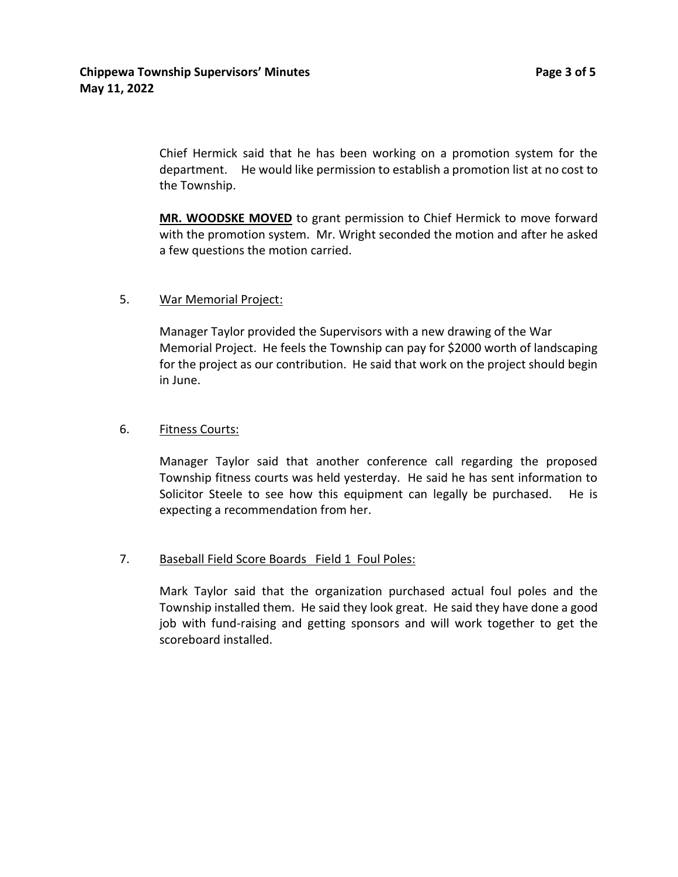Chief Hermick said that he has been working on a promotion system for the department. He would like permission to establish a promotion list at no cost to the Township.

**MR. WOODSKE MOVED** to grant permission to Chief Hermick to move forward with the promotion system. Mr. Wright seconded the motion and after he asked a few questions the motion carried.

## 5. War Memorial Project:

Manager Taylor provided the Supervisors with a new drawing of the War Memorial Project. He feels the Township can pay for \$2000 worth of landscaping for the project as our contribution. He said that work on the project should begin in June.

#### 6. Fitness Courts:

Manager Taylor said that another conference call regarding the proposed Township fitness courts was held yesterday. He said he has sent information to Solicitor Steele to see how this equipment can legally be purchased. He is expecting a recommendation from her.

## 7. Baseball Field Score Boards Field 1 Foul Poles:

Mark Taylor said that the organization purchased actual foul poles and the Township installed them. He said they look great. He said they have done a good job with fund-raising and getting sponsors and will work together to get the scoreboard installed.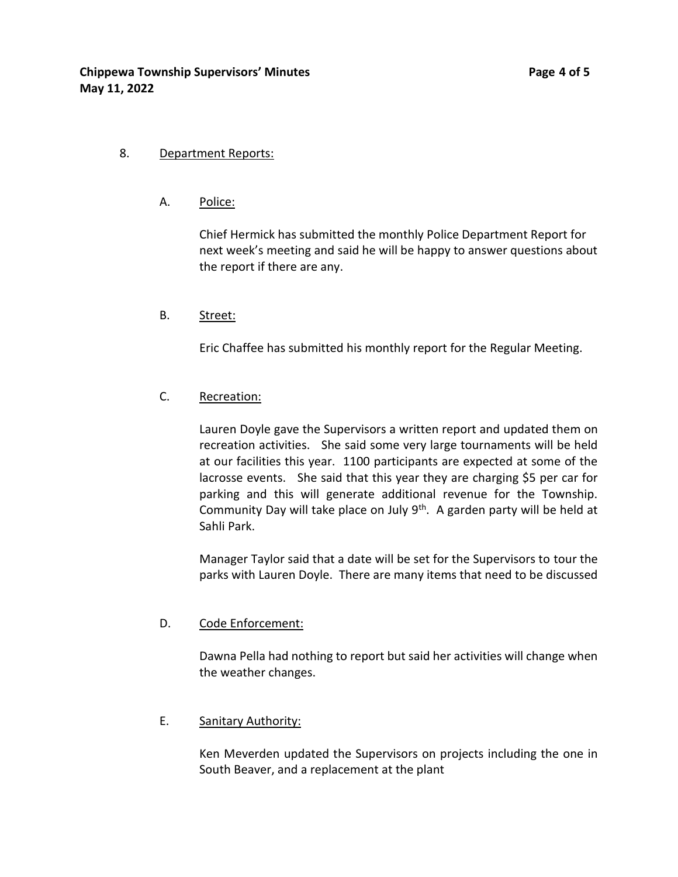A. Police:

Chief Hermick has submitted the monthly Police Department Report for next week's meeting and said he will be happy to answer questions about the report if there are any.

B. Street:

Eric Chaffee has submitted his monthly report for the Regular Meeting.

## C. Recreation:

Lauren Doyle gave the Supervisors a written report and updated them on recreation activities. She said some very large tournaments will be held at our facilities this year. 1100 participants are expected at some of the lacrosse events. She said that this year they are charging \$5 per car for parking and this will generate additional revenue for the Township. Community Day will take place on July  $9<sup>th</sup>$ . A garden party will be held at Sahli Park.

Manager Taylor said that a date will be set for the Supervisors to tour the parks with Lauren Doyle. There are many items that need to be discussed

## D. Code Enforcement:

Dawna Pella had nothing to report but said her activities will change when the weather changes.

# E. Sanitary Authority:

Ken Meverden updated the Supervisors on projects including the one in South Beaver, and a replacement at the plant